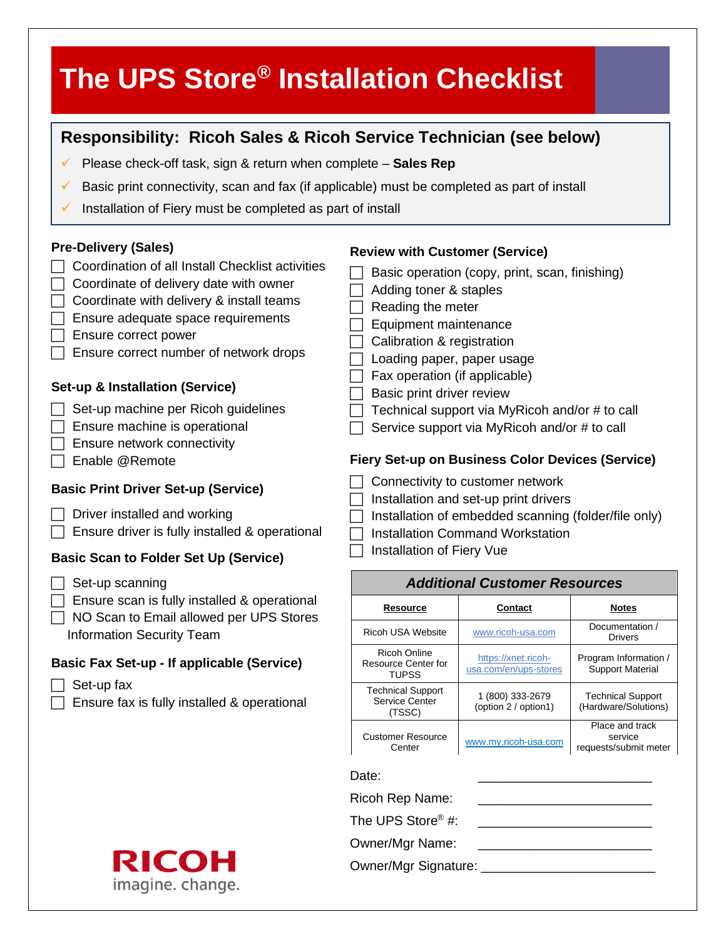| The UPS Store <sup>®</sup> Installation Checklist                                                                                                                                                                                                                                                                                                                                                                                         |                                                                                                                                                                                                                                         |                                                                                                                                                                                                             |                                                     |
|-------------------------------------------------------------------------------------------------------------------------------------------------------------------------------------------------------------------------------------------------------------------------------------------------------------------------------------------------------------------------------------------------------------------------------------------|-----------------------------------------------------------------------------------------------------------------------------------------------------------------------------------------------------------------------------------------|-------------------------------------------------------------------------------------------------------------------------------------------------------------------------------------------------------------|-----------------------------------------------------|
| Responsibility: Ricoh Sales & Ricoh Service Technician (see below)<br>Please check-off task, sign & return when complete - Sales Rep<br>V<br>Basic print connectivity, scan and fax (if applicable) must be completed as part of install<br>V<br>Installation of Fiery must be completed as part of install<br>✔                                                                                                                          |                                                                                                                                                                                                                                         |                                                                                                                                                                                                             |                                                     |
| <b>Pre-Delivery (Sales)</b><br>Coordination of all Install Checklist activities<br>Coordinate of delivery date with owner<br>Coordinate with delivery & install teams<br>Ensure adequate space requirements<br>Ensure correct power<br>Ensure correct number of network drops<br>Set-up & Installation (Service)<br>Set-up machine per Ricoh guidelines<br>Ensure machine is operational<br>Ensure network connectivity<br>Enable @Remote | <b>Review with Customer (Service)</b><br>Adding toner & staples<br>Reading the meter<br>Equipment maintenance<br>Calibration & registration<br>Loading paper, paper usage<br>Fax operation (if applicable)<br>Basic print driver review | Basic operation (copy, print, scan, finishing)<br>Technical support via MyRicoh and/or # to call<br>Service support via MyRicoh and/or # to call<br><b>Fiery Set-up on Business Color Devices (Service)</b> |                                                     |
| <b>Basic Print Driver Set-up (Service)</b><br>Driver installed and working<br>Ensure driver is fully installed & operational<br><b>Basic Scan to Folder Set Up (Service)</b>                                                                                                                                                                                                                                                              | Connectivity to customer network<br>Installation and set-up print drivers<br>Installation of embedded scanning (folder/file only)<br><b>Installation Command Workstation</b><br>Installation of Fiery Vue                               |                                                                                                                                                                                                             |                                                     |
| Set-up scanning                                                                                                                                                                                                                                                                                                                                                                                                                           | <b>Additional Customer Resources</b>                                                                                                                                                                                                    |                                                                                                                                                                                                             |                                                     |
| Ensure scan is fully installed & operational<br>NO Scan to Email allowed per UPS Stores<br><b>Information Security Team</b>                                                                                                                                                                                                                                                                                                               | <u>Resource</u>                                                                                                                                                                                                                         | <b>Contact</b>                                                                                                                                                                                              | <b>Notes</b>                                        |
|                                                                                                                                                                                                                                                                                                                                                                                                                                           | Ricoh USA Website                                                                                                                                                                                                                       | www.ricoh-usa.com                                                                                                                                                                                           | Documentation /<br><b>Drivers</b>                   |
| <b>Basic Fax Set-up - If applicable (Service)</b>                                                                                                                                                                                                                                                                                                                                                                                         | <b>Ricoh Online</b><br>Resource Center for<br><b>TUPSS</b>                                                                                                                                                                              | https://xnet.ricoh-<br>usa.com/en/ups-stores                                                                                                                                                                | Program Information /<br><b>Support Material</b>    |
| Set-up fax<br>Ensure fax is fully installed & operational                                                                                                                                                                                                                                                                                                                                                                                 | <b>Technical Support</b><br><b>Service Center</b><br>(TSSC)                                                                                                                                                                             | 1 (800) 333-2679<br>(option 2 / option1)                                                                                                                                                                    | <b>Technical Support</b><br>(Hardware/Solutions)    |
|                                                                                                                                                                                                                                                                                                                                                                                                                                           | <b>Customer Resource</b><br>Center                                                                                                                                                                                                      | www.my.ricoh-usa.com                                                                                                                                                                                        | Place and track<br>service<br>requests/submit meter |
|                                                                                                                                                                                                                                                                                                                                                                                                                                           | Date:                                                                                                                                                                                                                                   |                                                                                                                                                                                                             |                                                     |
|                                                                                                                                                                                                                                                                                                                                                                                                                                           | Ricoh Rep Name:                                                                                                                                                                                                                         |                                                                                                                                                                                                             |                                                     |
|                                                                                                                                                                                                                                                                                                                                                                                                                                           | The UPS Store <sup>®</sup> #:                                                                                                                                                                                                           |                                                                                                                                                                                                             |                                                     |
|                                                                                                                                                                                                                                                                                                                                                                                                                                           | Owner/Mgr Name:                                                                                                                                                                                                                         |                                                                                                                                                                                                             |                                                     |

Owner/Mgr Signature: \_\_\_\_\_\_\_\_\_\_\_\_\_\_\_\_\_\_\_\_\_\_\_\_

**RICOH**<br>imagine. change.